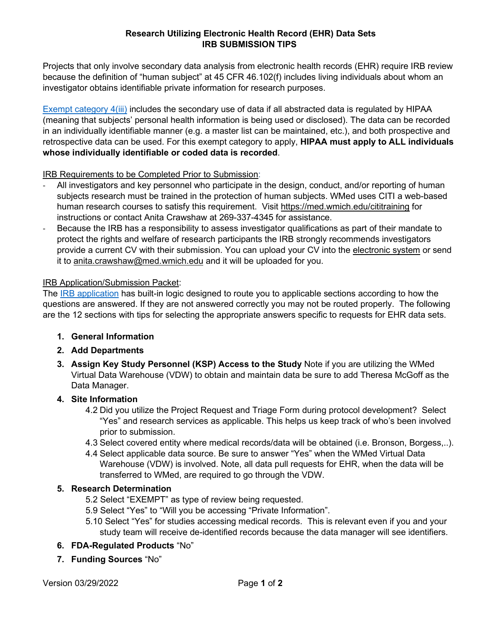#### **Research Utilizing Electronic Health Record (EHR) Data Sets IRB SUBMISSION TIPS**

Projects that only involve secondary data analysis from electronic health records (EHR) require IRB review because the definition of "human subject" at 45 CFR 46.102(f) includes living individuals about whom an investigator obtains identifiable private information for research purposes.

[Exempt category 4\(iii\)](https://www.hhs.gov/ohrp/regulations-and-policy/regulations/45-cfr-46/common-rule-subpart-a-46104/index.html) includes the secondary use of data if all abstracted data is regulated by HIPAA (meaning that subjects' personal health information is being used or disclosed). The data can be recorded in an individually identifiable manner (e.g. a master list can be maintained, etc.), and both prospective and retrospective data can be used. For this exempt category to apply, **HIPAA must apply to ALL individuals whose individually identifiable or coded data is recorded**.

IRB Requirements to be Completed Prior to Submission:

- All investigators and key personnel who participate in the design, conduct, and/or reporting of human subjects research must be trained in the protection of human subjects. WMed uses CITI a web-based human research courses to satisfy this requirement. Visit <https://med.wmich.edu/cititraining> for instructions or contact Anita Crawshaw at 269-337-4345 for assistance.
- Because the IRB has a responsibility to assess investigator qualifications as part of their mandate to protect the rights and welfare of research participants the IRB strongly recommends investigators provide a current CV with their submission. You can upload your CV into the [electronic system](https://imedris.med.wmich.edu/) or send it to [anita.crawshaw@med.wmich.edu](mailto:anita.crawshaw@med.wmich.edu) and it will be uploaded for you.

# IRB Application/Submission Packet:

The [IRB application](https://imedris.med.wmich.edu/) has built-in logic designed to route you to applicable sections according to how the questions are answered. If they are not answered correctly you may not be routed properly. The following are the 12 sections with tips for selecting the appropriate answers specific to requests for EHR data sets.

- **1. General Information**
- **2. Add Departments**
- **3. Assign Key Study Personnel (KSP) Access to the Study** Note if you are utilizing the WMed Virtual Data Warehouse (VDW) to obtain and maintain data be sure to add Theresa McGoff as the Data Manager.

# **4. Site Information**

- 4.2 Did you utilize the Project Request and Triage Form during protocol development? Select "Yes" and research services as applicable. This helps us keep track of who's been involved prior to submission.
- 4.3 Select covered entity where medical records/data will be obtained (i.e. Bronson, Borgess,..).
- 4.4 Select applicable data source. Be sure to answer "Yes" when the WMed Virtual Data Warehouse (VDW) is involved. Note, all data pull requests for EHR, when the data will be transferred to WMed, are required to go through the VDW.

# **5. Research Determination**

- 5.2 Select "EXEMPT" as type of review being requested.
- 5.9 Select "Yes" to "Will you be accessing "Private Information".
- 5.10 Select "Yes" for studies accessing medical records. This is relevant even if you and your study team will receive de-identified records because the data manager will see identifiers.
- **6. FDA-Regulated Products** "No"
- **7. Funding Sources** "No"